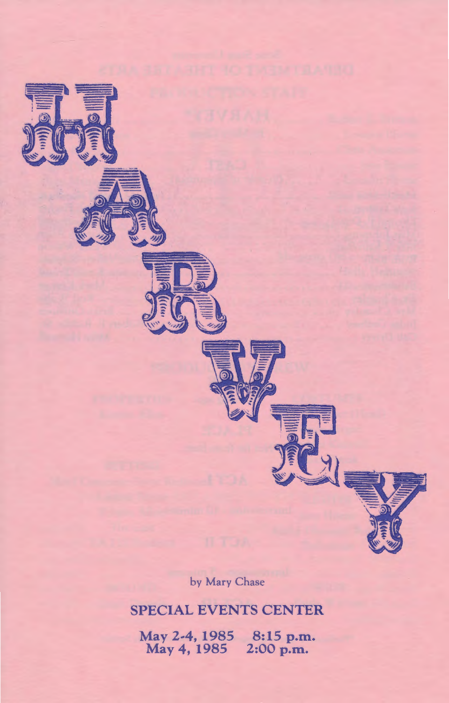

by Mary Chase

# SPECIAL EVENTS CENTER

May 2~4, 1985 May 4, 1985 8:15 p.m. 2:00 p.m.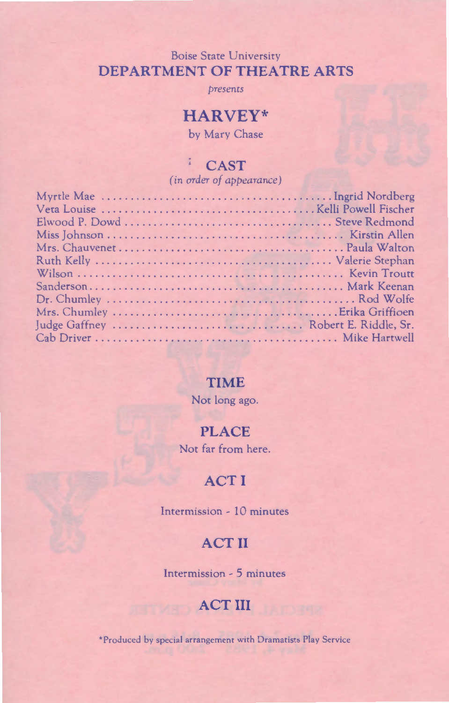### Boise State University **DEPARTMENT OF THEATRE ARTS**

*presents* 

# **HARVEY\***

by Mary Chase

# **CAST**

 $\frac{\pi}{\mu}$ 

*(in order of appearance)* 

### **TIME**

Not long ago.

## **PLACE**

Not far from here.

# **ACTI**

Intermission- 10 minutes

# **ACT II**

Intermission - 5 minutes

# **ACT III**

\*Produced by special arrangement with Dramatists Play Service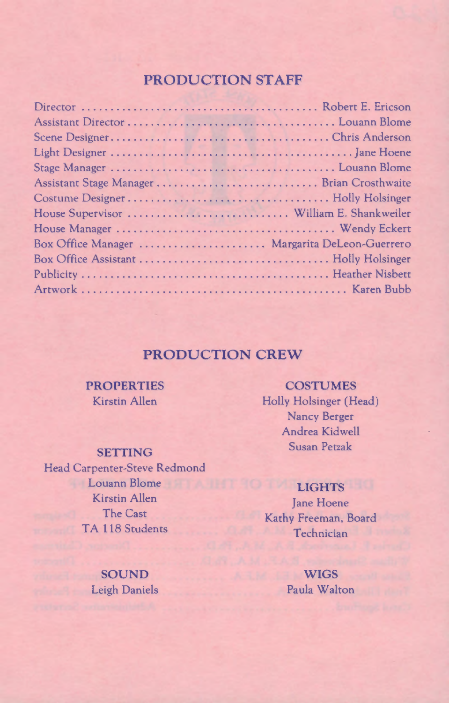## **PRODUCTION STAFF**

| Assistant Stage Manager  Brian Crosthwaite    |  |
|-----------------------------------------------|--|
|                                               |  |
|                                               |  |
|                                               |  |
| Box Office Manager  Margarita DeLeon-Guerrero |  |
|                                               |  |
|                                               |  |
|                                               |  |

## **PRODUCTION CREW**

#### **PROPERTIES**  Kirstin Allen

#### **SETTING**

Head Carpenter-Steve Redmond Louann Blome **LIGHTS**  Kirstin Allen The Cast TA 118 Students

**SOUND Leigh Daniels** 

**COSTUMES**  Holly Holsinger (Head) Nancy Berger Andrea Kidwell Susan Petzak

Jane Hoene Kathy Freeman, Board **Technician** 

**WIGS**  Paula Walton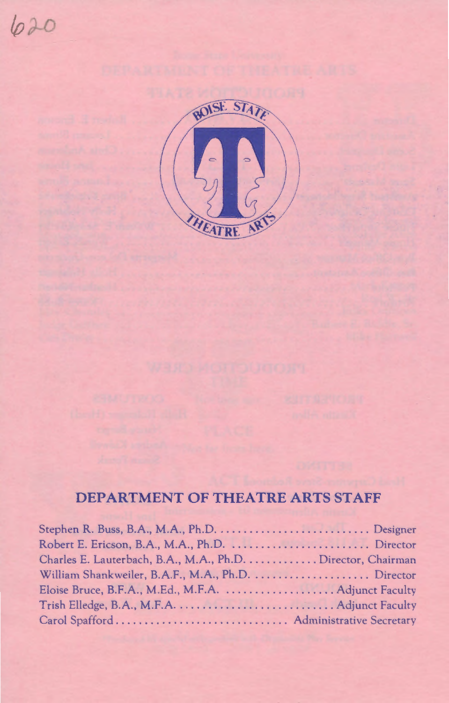



# **DEPARTMENT OF THEATRE ARTS STAFF**

| Charles E. Lauterbach, B.A., M.A., Ph.D.  Director, Chairman |  |
|--------------------------------------------------------------|--|
|                                                              |  |
|                                                              |  |
|                                                              |  |
| Carol Spafford Administrative Secretary                      |  |